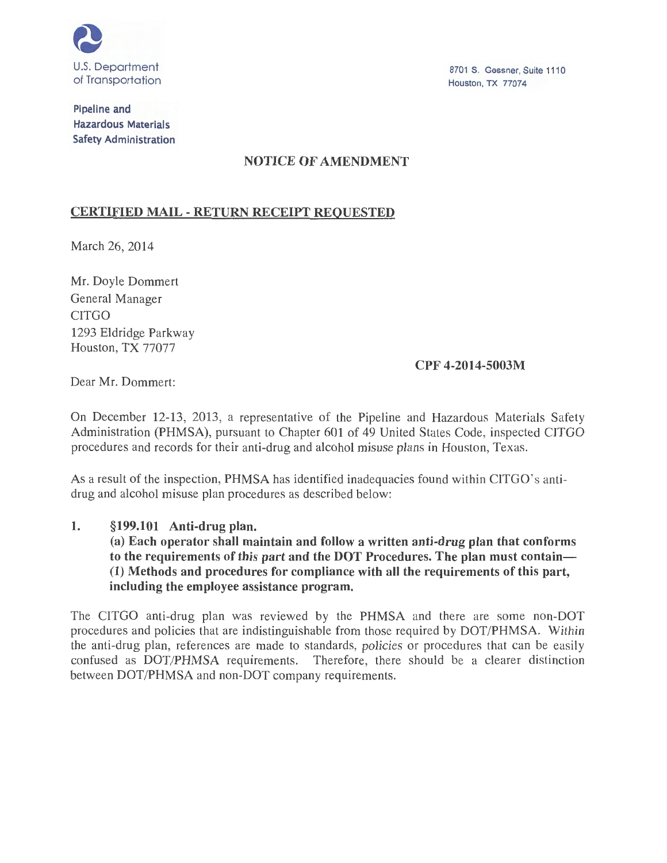

8701 S. Gessner, Suite 1110 Houston, TX 77074

**Pipeline and Hazardous Materials Safety Administration** 

# **NOTICE OF AMENDMENT**

### **CERTIFIED MAIL - RETURN RECEIPT REQUESTED**

March 26, 2014

Mr. Doyle Dommert General Manager **CITGO** 1293 Eldridge Parkway Houston, TX 77077

**CPF 4-2014-5003M** 

Dear Mr. Dommert:

On December 12-13, 2013, a representative of the Pipeline and Hazardous Materials Safety Administration (PHMSA), pursuant to Chapter 601 of 49 United States Code, inspected CITGO procedures and records for their anti-drug and alcohol misuse plans in Houston, Texas.

As a result of the inspection, PHMSA has identified inadequacies found within CITGO's antidrug and alcohol misuse plan procedures as described below:

## **1. §199.101 Anti-drug plan.**

**(a) Each operator shall maintain and follow a written anti-drug plan that conforms to the requirements of this part and the DOT Procedures. The plan must contain- (1) Methods and procedures for compliance with all the requirements of this part, including the employee assistance program.** 

The CITGO anti-drug plan was reviewed by the PHMSA and there are some non-DOT procedures and policies that are indistinguishable from those required by DOT/PHMSA. Within the anti-drug plan, references are made to standards, policies or procedures that can be easily confused as DOT/PHMSA requirements. Therefore, there should be a clearer distinction between DOT/PHMSA and non-DOT company requirements.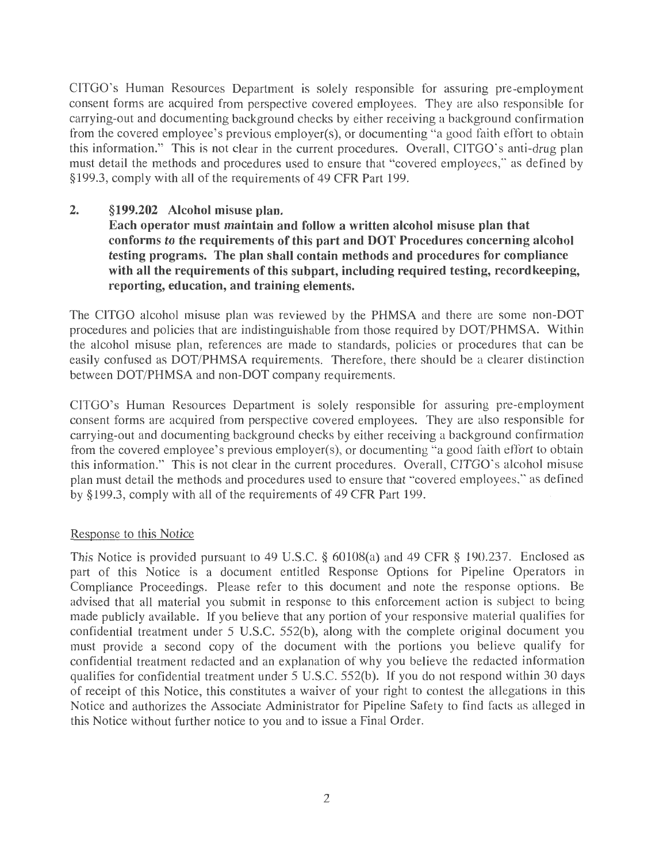CITGO's Human Resources Department is solely responsible for assuring pre-employment consent forms are acquired from perspective covered employees. They are also responsible for carrying-out and documenting background checks by either receiving a background confirmation from the covered employee's previous employer(s), or documenting "a good faith effort to obtain this information." This is not clear in the current procedures. Overall, CITGO's anti-drug plan must detail the methods and procedures used to ensure that "covered employees," as defined by §199.3, comply with all of the requirements of 49 CFR Part 199.

#### **2. §199.202 Alcohol misuse plan.**

**Each operator must maintain and follow a written alcohol misuse plan that conforms to the requirements of this part and DOT Procedures concerning alcohol testing programs. The plan shall contain methods and procedures for compliance**  with all the requirements of this subpart, including required testing, record keeping, **reporting, education, and training elements.** 

The CITGO alcohol misuse plan was reviewed by the PHMSA and there are some non-DOT procedures and policies that are indistinguishable from those required by DOT/PHMSA. Within the alcohol misuse plan, references are made to standards, policies or procedures that can be easily confused as DOT/PHMSA requirements. Therefore, there should be a clearer distinction between DOT/PHMSA and non-DOT company requirements.

CITGO's Human Resources Department is solely responsible for assuring pre-employment consent forms are acquired from perspective covered employees. They are also responsible for carrying-out and documenting background checks by either receiving a background confirmation from the covered employee's previous employer(s), or documenting "a good faith effort to obtain this information." This is not clear in the current procedures. Overall, CITGO's alcohol misuse plan must detail the methods and procedures used to ensure that "covered employees," as defined by §199.3, comply with all of the requirements of 49 CFR Part 199.

#### Response to this Notice

This Notice is provided pursuant to 49 U.S.C. § 60108(a) and 49 CFR § 190.237. Enclosed as part of this Notice is a document entitled Response Options for Pipeline Operators in Compliance Proceedings. Please refer to this document and note the response options. Be advised that all material you submit in response to this enforcement action is subject to being made publicly available. If you believe that any portion of your responsive material qualifies for confidential treatment under 5 U.S.C. 552(b), along with the complete original document you must provide a second copy of the document with the portions you believe qualify for confidential treatment redacted and an explanation of why you believe the redacted information qualifies for confidential treatment under 5 U.S.C. 552(b). If you do not respond within 30 days of receipt of this Notice, this constitutes a waiver of your right to contest the allegations in this Notice and authorizes the Associate Administrator for Pipeline Safety to find facts as alleged in this Notice without further notice to you and to issue a Final Order.